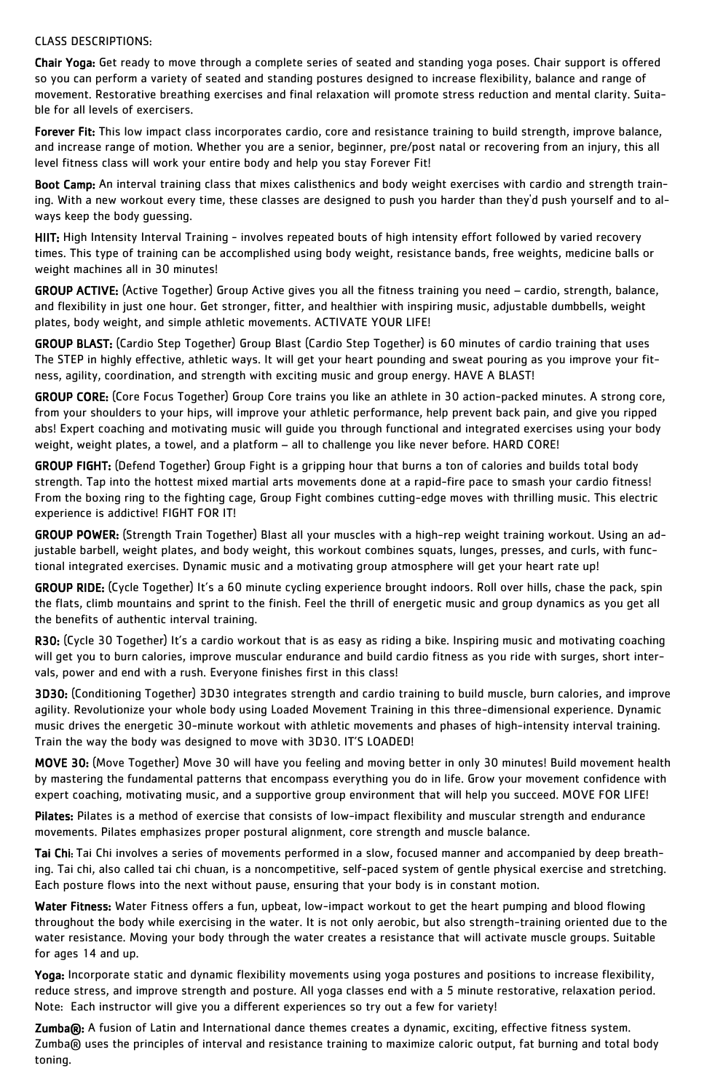## CLASS DESCRIPTIONS:

Chair Yoga: Get ready to move through a complete series of seated and standing yoga poses. Chair support is offered so you can perform a variety of seated and standing postures designed to increase flexibility, balance and range of movement. Restorative breathing exercises and final relaxation will promote stress reduction and mental clarity. Suitable for all levels of exercisers.

Forever Fit: This low impact class incorporates cardio, core and resistance training to build strength, improve balance, and increase range of motion. Whether you are a senior, beginner, pre/post natal or recovering from an injury, this all level fitness class will work your entire body and help you stay Forever Fit!

Boot Camp: An interval training class that mixes calisthenics and body weight exercises with cardio and strength training. With a new workout every time, these classes are designed to push you harder than they'd push yourself and to always keep the body guessing.

HIIT: High Intensity Interval Training - involves repeated bouts of high intensity effort followed by varied recovery times. This type of training can be accomplished using body weight, resistance bands, free weights, medicine balls or weight machines all in 30 minutes!

GROUP ACTIVE: (Active Together) Group Active gives you all the fitness training you need – cardio, strength, balance, and flexibility in just one hour. Get stronger, fitter, and healthier with inspiring music, adjustable dumbbells, weight plates, body weight, and simple athletic movements. ACTIVATE YOUR LIFE!

GROUP BLAST: (Cardio Step Together) Group Blast (Cardio Step Together) is 60 minutes of cardio training that uses The STEP in highly effective, athletic ways. It will get your heart pounding and sweat pouring as you improve your fitness, agility, coordination, and strength with exciting music and group energy. HAVE A BLAST!

R30: (Cycle 30 Together) It's a cardio workout that is as easy as riding a bike. Inspiring music and motivating coaching will get you to burn calories, improve muscular endurance and build cardio fitness as you ride with surges, short intervals, power and end with a rush. Everyone finishes first in this class!

GROUP CORE: (Core Focus Together) Group Core trains you like an athlete in 30 action-packed minutes. A strong core, from your shoulders to your hips, will improve your athletic performance, help prevent back pain, and give you ripped abs! Expert coaching and motivating music will guide you through functional and integrated exercises using your body weight, weight plates, a towel, and a platform – all to challenge you like never before. HARD CORE!

Pilates: Pilates is a method of exercise that consists of low-impact flexibility and muscular strength and endurance movements. Pilates emphasizes proper postural alignment, core strength and muscle balance.

GROUP FIGHT: (Defend Together) Group Fight is a gripping hour that burns a ton of calories and builds total body strength. Tap into the hottest mixed martial arts movements done at a rapid-fire pace to smash your cardio fitness! From the boxing ring to the fighting cage, Group Fight combines cutting-edge moves with thrilling music. This electric experience is addictive! FIGHT FOR IT!

Water Fitness: Water Fitness offers a fun, upbeat, low-impact workout to get the heart pumping and blood flowing throughout the body while exercising in the water. It is not only aerobic, but also strength-training oriented due to the water resistance. Moving your body through the water creates a resistance that will activate muscle groups. Suitable for ages 14 and up.

GROUP POWER: (Strength Train Together) Blast all your muscles with a high-rep weight training workout. Using an adjustable barbell, weight plates, and body weight, this workout combines squats, lunges, presses, and curls, with functional integrated exercises. Dynamic music and a motivating group atmosphere will get your heart rate up!

Zumba®: A fusion of Latin and International dance themes creates a dynamic, exciting, effective fitness system. Zumba® uses the principles of interval and resistance training to maximize caloric output, fat burning and total body toning.

GROUP RIDE: (Cycle Together) It's a 60 minute cycling experience brought indoors. Roll over hills, chase the pack, spin the flats, climb mountains and sprint to the finish. Feel the thrill of energetic music and group dynamics as you get all the benefits of authentic interval training.

3D30: (Conditioning Together) 3D30 integrates strength and cardio training to build muscle, burn calories, and improve agility. Revolutionize your whole body using Loaded Movement Training in this three-dimensional experience. Dynamic music drives the energetic 30-minute workout with athletic movements and phases of high-intensity interval training. Train the way the body was designed to move with 3D30. IT'S LOADED!

MOVE 30: (Move Together) Move 30 will have you feeling and moving better in only 30 minutes! Build movement health by mastering the fundamental patterns that encompass everything you do in life. Grow your movement confidence with expert coaching, motivating music, and a supportive group environment that will help you succeed. MOVE FOR LIFE!

Tai Chi: Tai Chi involves a series of movements performed in a slow, focused manner and accompanied by deep breathing. Tai chi, also called tai chi chuan, is a noncompetitive, self-paced system of gentle physical exercise and stretching. Each posture flows into the next without pause, ensuring that your body is in constant motion.

Yoga: Incorporate static and dynamic flexibility movements using yoga postures and positions to increase flexibility, reduce stress, and improve strength and posture. All yoga classes end with a 5 minute restorative, relaxation period. Note: Each instructor will give you a different experiences so try out a few for variety!